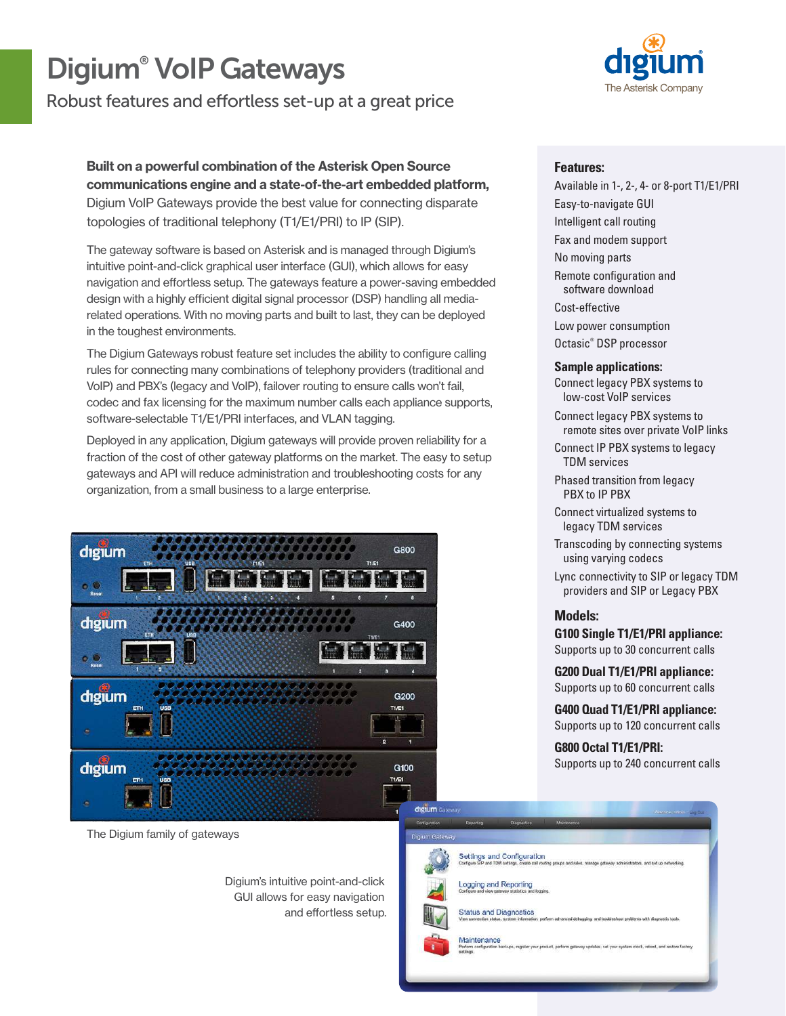# Digium® VoIP Gateways

Robust features and effortless set-up at a great price

Built on a powerful combination of the Asterisk Open Source communications engine and a state-of-the-art embedded platform, Digium VoIP Gateways provide the best value for connecting disparate topologies of traditional telephony (T1/E1/PRI) to IP (SIP).

The gateway software is based on Asterisk and is managed through Digium's intuitive point-and-click graphical user interface (GUI), which allows for easy navigation and effortless setup. The gateways feature a power-saving embedded design with a highly efficient digital signal processor (DSP) handling all mediarelated operations. With no moving parts and built to last, they can be deployed in the toughest environments.

The Digium Gateways robust feature set includes the ability to configure calling rules for connecting many combinations of telephony providers (traditional and VoIP) and PBX's (legacy and VoIP), failover routing to ensure calls won't fail, codec and fax licensing for the maximum number calls each appliance supports, software-selectable T1/E1/PRI interfaces, and VLAN tagging.

Deployed in any application, Digium gateways will provide proven reliability for a fraction of the cost of other gateway platforms on the market. The easy to setup gateways and API will reduce administration and troubleshooting costs for any organization, from a small business to a large enterprise.



The Digium family of gateways

Digium's intuitive point-and-click GUI allows for easy navigation and effortless setup.



### **Features:**

Available in 1-, 2-, 4- or 8-port T1/E1/PRI Easy-to-navigate GUI Intelligent call routing Fax and modem support No moving parts Remote configuration and software download Cost-effective Low power consumption Octasic® DSP processor

### **Sample applications:**

Connect legacy PBX systems to low-cost VoIP services

- Connect legacy PBX systems to remote sites over private VoIP links
- Connect IP PBX systems to legacy TDM services

Phased transition from legacy PBX to IP PBX

Connect virtualized systems to legacy TDM services

Transcoding by connecting systems using varying codecs

Lync connectivity to SIP or legacy TDM providers and SIP or Legacy PBX

### **Models:**

**G100 Single T1/E1/PRI appliance:**  Supports up to 30 concurrent calls

**G200 Dual T1/E1/PRI appliance:**  Supports up to 60 concurrent calls

**G400 Quad T1/E1/PRI appliance:** Supports up to 120 concurrent calls

**G800 Octal T1/E1/PRI:**  Supports up to 240 concurrent calls